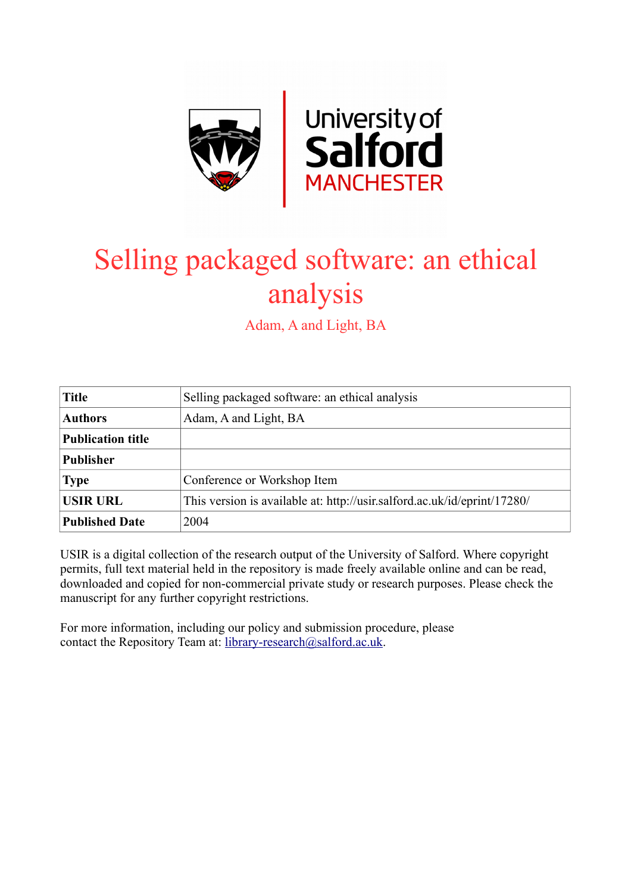

# Selling packaged software: an ethical analysis

Adam, A and Light, BA

| <b>Title</b>             | Selling packaged software: an ethical analysis                           |
|--------------------------|--------------------------------------------------------------------------|
| <b>Authors</b>           | Adam, A and Light, BA                                                    |
| <b>Publication title</b> |                                                                          |
| <b>Publisher</b>         |                                                                          |
| <b>Type</b>              | Conference or Workshop Item                                              |
| <b>USIR URL</b>          | This version is available at: http://usir.salford.ac.uk/id/eprint/17280/ |
| <b>Published Date</b>    | 2004                                                                     |

USIR is a digital collection of the research output of the University of Salford. Where copyright permits, full text material held in the repository is made freely available online and can be read, downloaded and copied for non-commercial private study or research purposes. Please check the manuscript for any further copyright restrictions.

For more information, including our policy and submission procedure, please contact the Repository Team at: [library-research@salford.ac.uk.](mailto:library-research@salford.ac.uk)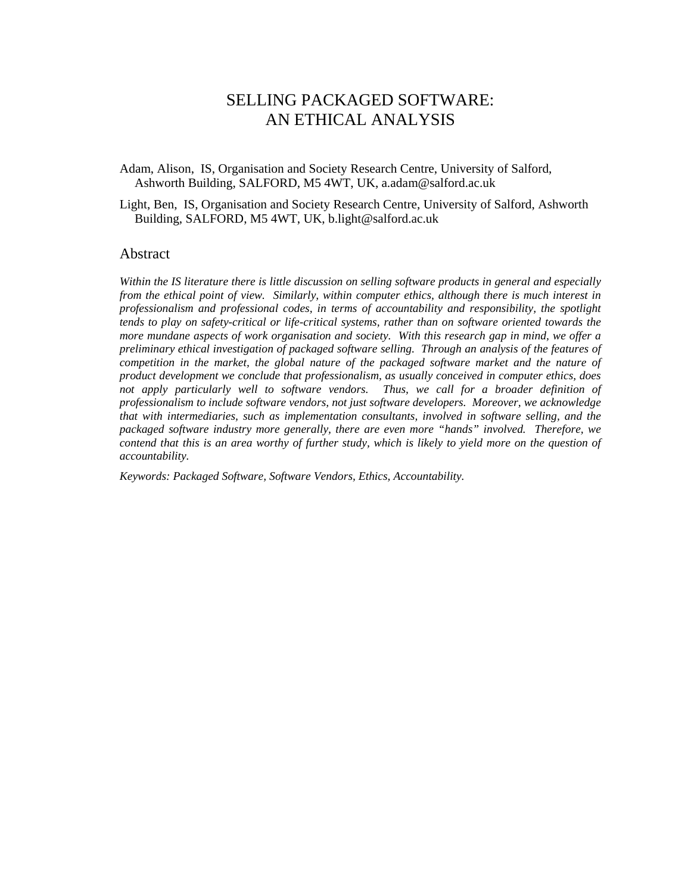# SELLING PACKAGED SOFTWARE: AN ETHICAL ANALYSIS

Adam, Alison, IS, Organisation and Society Research Centre, University of Salford, Ashworth Building, SALFORD, M5 4WT, UK, a.adam@salford.ac.uk

Light, Ben, IS, Organisation and Society Research Centre, University of Salford, Ashworth Building, SALFORD, M5 4WT, UK, b.light@salford.ac.uk

# Abstract

*Within the IS literature there is little discussion on selling software products in general and especially from the ethical point of view. Similarly, within computer ethics, although there is much interest in professionalism and professional codes, in terms of accountability and responsibility, the spotlight tends to play on safety-critical or life-critical systems, rather than on software oriented towards the more mundane aspects of work organisation and society. With this research gap in mind, we offer a preliminary ethical investigation of packaged software selling. Through an analysis of the features of competition in the market, the global nature of the packaged software market and the nature of product development we conclude that professionalism, as usually conceived in computer ethics, does*  not apply particularly well to software vendors. Thus, we call for a broader definition of *professionalism to include software vendors, not just software developers. Moreover, we acknowledge that with intermediaries, such as implementation consultants, involved in software selling, and the packaged software industry more generally, there are even more "hands" involved. Therefore, we contend that this is an area worthy of further study, which is likely to yield more on the question of accountability.* 

*Keywords: Packaged Software, Software Vendors, Ethics, Accountability.*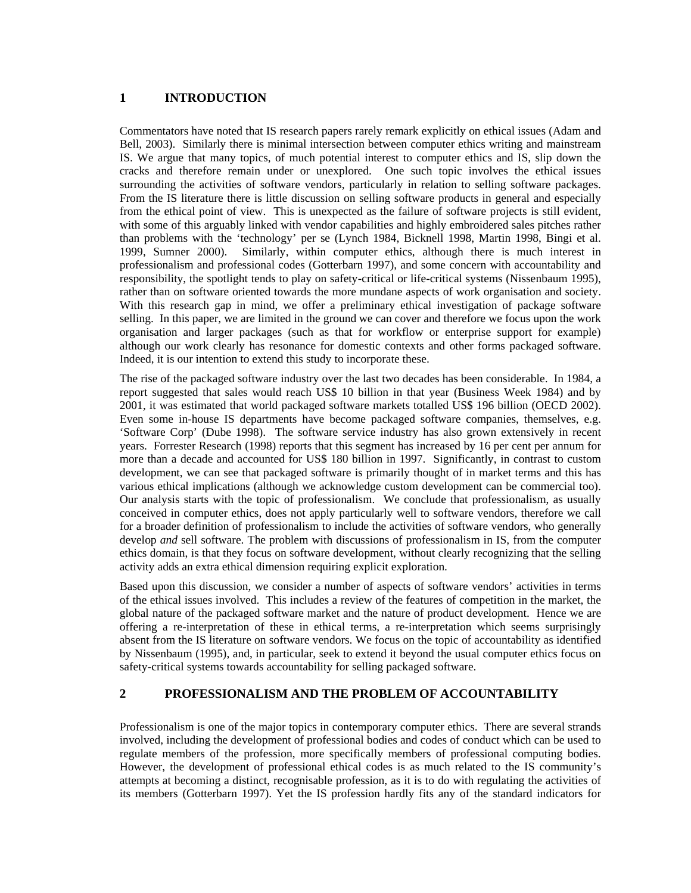# **1 INTRODUCTION**

Commentators have noted that IS research papers rarely remark explicitly on ethical issues (Adam and Bell, 2003). Similarly there is minimal intersection between computer ethics writing and mainstream IS. We argue that many topics, of much potential interest to computer ethics and IS, slip down the cracks and therefore remain under or unexplored. One such topic involves the ethical issues surrounding the activities of software vendors, particularly in relation to selling software packages. From the IS literature there is little discussion on selling software products in general and especially from the ethical point of view. This is unexpected as the failure of software projects is still evident, with some of this arguably linked with vendor capabilities and highly embroidered sales pitches rather than problems with the 'technology' per se (Lynch 1984, Bicknell 1998, Martin 1998, Bingi et al. 1999, Sumner 2000). Similarly, within computer ethics, although there is much interest in professionalism and professional codes (Gotterbarn 1997), and some concern with accountability and responsibility, the spotlight tends to play on safety-critical or life-critical systems (Nissenbaum 1995), rather than on software oriented towards the more mundane aspects of work organisation and society. With this research gap in mind, we offer a preliminary ethical investigation of package software selling. In this paper, we are limited in the ground we can cover and therefore we focus upon the work organisation and larger packages (such as that for workflow or enterprise support for example) although our work clearly has resonance for domestic contexts and other forms packaged software. Indeed, it is our intention to extend this study to incorporate these.

The rise of the packaged software industry over the last two decades has been considerable. In 1984, a report suggested that sales would reach US\$ 10 billion in that year (Business Week 1984) and by 2001, it was estimated that world packaged software markets totalled US\$ 196 billion (OECD 2002). Even some in-house IS departments have become packaged software companies, themselves, e.g. 'Software Corp' (Dube 1998). The software service industry has also grown extensively in recent years. Forrester Research (1998) reports that this segment has increased by 16 per cent per annum for more than a decade and accounted for US\$ 180 billion in 1997. Significantly, in contrast to custom development, we can see that packaged software is primarily thought of in market terms and this has various ethical implications (although we acknowledge custom development can be commercial too). Our analysis starts with the topic of professionalism. We conclude that professionalism, as usually conceived in computer ethics, does not apply particularly well to software vendors, therefore we call for a broader definition of professionalism to include the activities of software vendors, who generally develop *and* sell software. The problem with discussions of professionalism in IS, from the computer ethics domain, is that they focus on software development, without clearly recognizing that the selling activity adds an extra ethical dimension requiring explicit exploration.

Based upon this discussion, we consider a number of aspects of software vendors' activities in terms of the ethical issues involved. This includes a review of the features of competition in the market, the global nature of the packaged software market and the nature of product development. Hence we are offering a re-interpretation of these in ethical terms, a re-interpretation which seems surprisingly absent from the IS literature on software vendors. We focus on the topic of accountability as identified by Nissenbaum (1995), and, in particular, seek to extend it beyond the usual computer ethics focus on safety-critical systems towards accountability for selling packaged software.

### **2 PROFESSIONALISM AND THE PROBLEM OF ACCOUNTABILITY**

Professionalism is one of the major topics in contemporary computer ethics. There are several strands involved, including the development of professional bodies and codes of conduct which can be used to regulate members of the profession, more specifically members of professional computing bodies. However, the development of professional ethical codes is as much related to the IS community's attempts at becoming a distinct, recognisable profession, as it is to do with regulating the activities of its members (Gotterbarn 1997). Yet the IS profession hardly fits any of the standard indicators for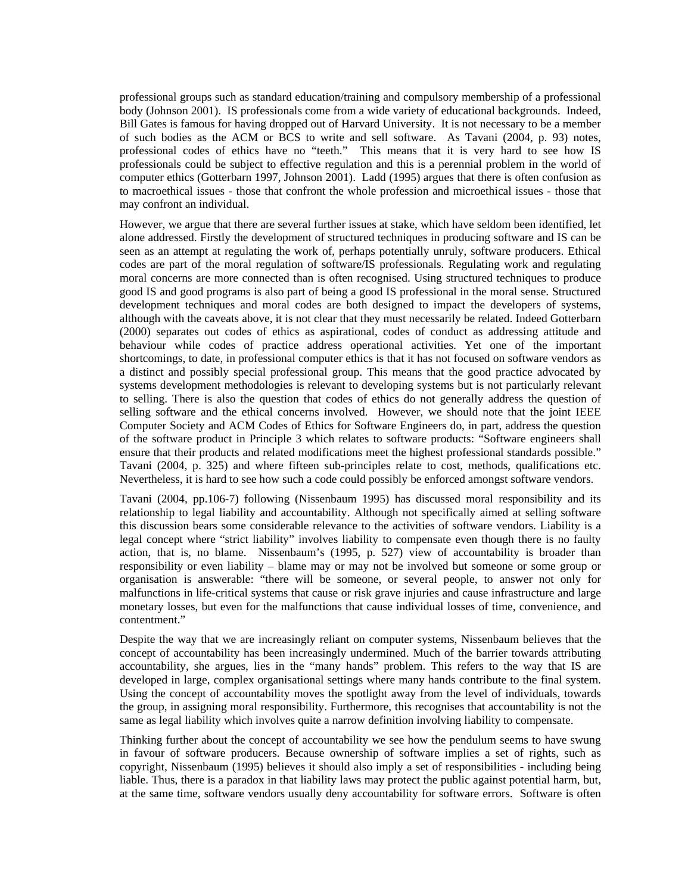professional groups such as standard education/training and compulsory membership of a professional body (Johnson 2001). IS professionals come from a wide variety of educational backgrounds. Indeed, Bill Gates is famous for having dropped out of Harvard University. It is not necessary to be a member of such bodies as the ACM or BCS to write and sell software. As Tavani (2004, p. 93) notes, professional codes of ethics have no "teeth." This means that it is very hard to see how IS professionals could be subject to effective regulation and this is a perennial problem in the world of computer ethics (Gotterbarn 1997, Johnson 2001). Ladd (1995) argues that there is often confusion as to macroethical issues - those that confront the whole profession and microethical issues - those that may confront an individual.

However, we argue that there are several further issues at stake, which have seldom been identified, let alone addressed. Firstly the development of structured techniques in producing software and IS can be seen as an attempt at regulating the work of, perhaps potentially unruly, software producers. Ethical codes are part of the moral regulation of software/IS professionals. Regulating work and regulating moral concerns are more connected than is often recognised. Using structured techniques to produce good IS and good programs is also part of being a good IS professional in the moral sense. Structured development techniques and moral codes are both designed to impact the developers of systems, although with the caveats above, it is not clear that they must necessarily be related. Indeed Gotterbarn (2000) separates out codes of ethics as aspirational, codes of conduct as addressing attitude and behaviour while codes of practice address operational activities. Yet one of the important shortcomings, to date, in professional computer ethics is that it has not focused on software vendors as a distinct and possibly special professional group. This means that the good practice advocated by systems development methodologies is relevant to developing systems but is not particularly relevant to selling. There is also the question that codes of ethics do not generally address the question of selling software and the ethical concerns involved. However, we should note that the joint IEEE Computer Society and ACM Codes of Ethics for Software Engineers do, in part, address the question of the software product in Principle 3 which relates to software products: "Software engineers shall ensure that their products and related modifications meet the highest professional standards possible." Tavani (2004, p. 325) and where fifteen sub-principles relate to cost, methods, qualifications etc. Nevertheless, it is hard to see how such a code could possibly be enforced amongst software vendors.

Tavani (2004, pp.106-7) following (Nissenbaum 1995) has discussed moral responsibility and its relationship to legal liability and accountability. Although not specifically aimed at selling software this discussion bears some considerable relevance to the activities of software vendors. Liability is a legal concept where "strict liability" involves liability to compensate even though there is no faulty action, that is, no blame. Nissenbaum's (1995, p. 527) view of accountability is broader than responsibility or even liability – blame may or may not be involved but someone or some group or organisation is answerable: "there will be someone, or several people, to answer not only for malfunctions in life-critical systems that cause or risk grave injuries and cause infrastructure and large monetary losses, but even for the malfunctions that cause individual losses of time, convenience, and contentment."

Despite the way that we are increasingly reliant on computer systems, Nissenbaum believes that the concept of accountability has been increasingly undermined. Much of the barrier towards attributing accountability, she argues, lies in the "many hands" problem. This refers to the way that IS are developed in large, complex organisational settings where many hands contribute to the final system. Using the concept of accountability moves the spotlight away from the level of individuals, towards the group, in assigning moral responsibility. Furthermore, this recognises that accountability is not the same as legal liability which involves quite a narrow definition involving liability to compensate.

Thinking further about the concept of accountability we see how the pendulum seems to have swung in favour of software producers. Because ownership of software implies a set of rights, such as copyright, Nissenbaum (1995) believes it should also imply a set of responsibilities - including being liable. Thus, there is a paradox in that liability laws may protect the public against potential harm, but, at the same time, software vendors usually deny accountability for software errors. Software is often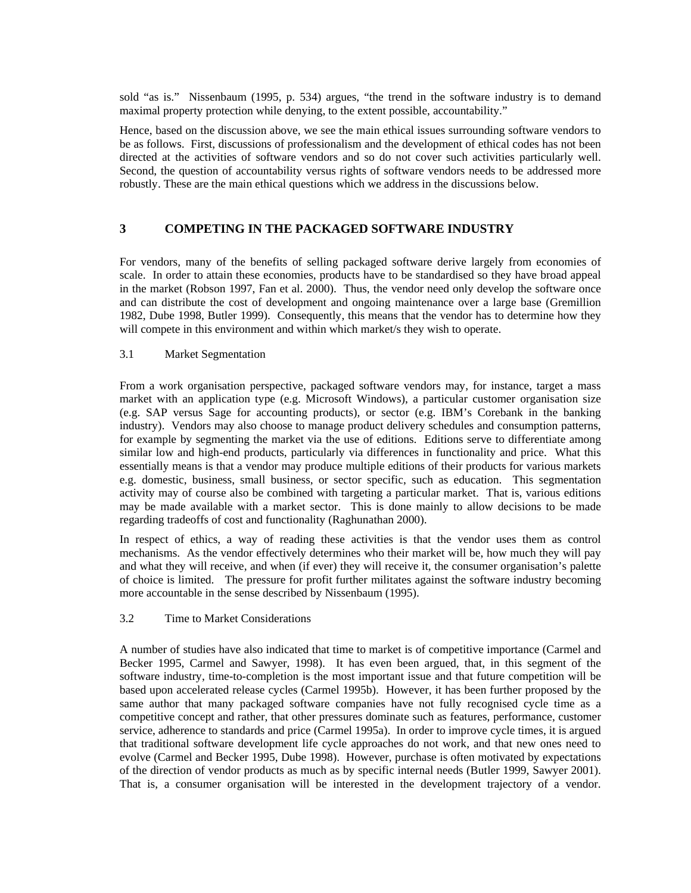sold "as is." Nissenbaum (1995, p. 534) argues, "the trend in the software industry is to demand maximal property protection while denying, to the extent possible, accountability."

Hence, based on the discussion above, we see the main ethical issues surrounding software vendors to be as follows. First, discussions of professionalism and the development of ethical codes has not been directed at the activities of software vendors and so do not cover such activities particularly well. Second, the question of accountability versus rights of software vendors needs to be addressed more robustly. These are the main ethical questions which we address in the discussions below.

# **3 COMPETING IN THE PACKAGED SOFTWARE INDUSTRY**

For vendors, many of the benefits of selling packaged software derive largely from economies of scale. In order to attain these economies, products have to be standardised so they have broad appeal in the market (Robson 1997, Fan et al. 2000). Thus, the vendor need only develop the software once and can distribute the cost of development and ongoing maintenance over a large base (Gremillion 1982, Dube 1998, Butler 1999). Consequently, this means that the vendor has to determine how they will compete in this environment and within which market/s they wish to operate.

#### 3.1 Market Segmentation

From a work organisation perspective, packaged software vendors may, for instance, target a mass market with an application type (e.g. Microsoft Windows), a particular customer organisation size (e.g. SAP versus Sage for accounting products), or sector (e.g. IBM's Corebank in the banking industry). Vendors may also choose to manage product delivery schedules and consumption patterns, for example by segmenting the market via the use of editions. Editions serve to differentiate among similar low and high-end products, particularly via differences in functionality and price. What this essentially means is that a vendor may produce multiple editions of their products for various markets e.g. domestic, business, small business, or sector specific, such as education. This segmentation activity may of course also be combined with targeting a particular market. That is, various editions may be made available with a market sector. This is done mainly to allow decisions to be made regarding tradeoffs of cost and functionality (Raghunathan 2000).

In respect of ethics, a way of reading these activities is that the vendor uses them as control mechanisms. As the vendor effectively determines who their market will be, how much they will pay and what they will receive, and when (if ever) they will receive it, the consumer organisation's palette of choice is limited. The pressure for profit further militates against the software industry becoming more accountable in the sense described by Nissenbaum (1995).

#### 3.2 Time to Market Considerations

A number of studies have also indicated that time to market is of competitive importance (Carmel and Becker 1995, Carmel and Sawyer, 1998). It has even been argued, that, in this segment of the software industry, time-to-completion is the most important issue and that future competition will be based upon accelerated release cycles (Carmel 1995b). However, it has been further proposed by the same author that many packaged software companies have not fully recognised cycle time as a competitive concept and rather, that other pressures dominate such as features, performance, customer service, adherence to standards and price (Carmel 1995a). In order to improve cycle times, it is argued that traditional software development life cycle approaches do not work, and that new ones need to evolve (Carmel and Becker 1995, Dube 1998). However, purchase is often motivated by expectations of the direction of vendor products as much as by specific internal needs (Butler 1999, Sawyer 2001). That is, a consumer organisation will be interested in the development trajectory of a vendor.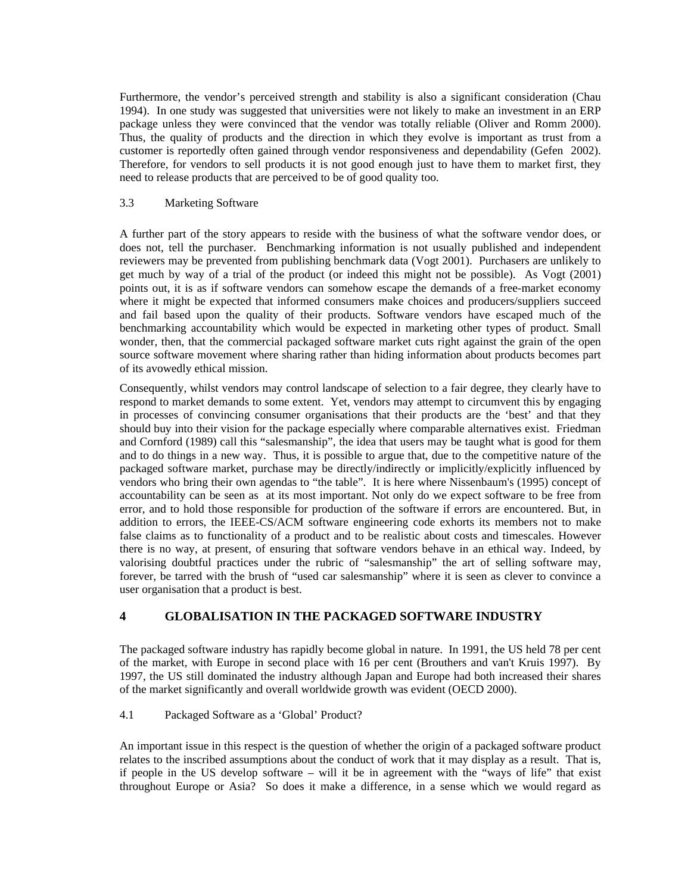Furthermore, the vendor's perceived strength and stability is also a significant consideration (Chau 1994). In one study was suggested that universities were not likely to make an investment in an ERP package unless they were convinced that the vendor was totally reliable (Oliver and Romm 2000). Thus, the quality of products and the direction in which they evolve is important as trust from a customer is reportedly often gained through vendor responsiveness and dependability (Gefen 2002). Therefore, for vendors to sell products it is not good enough just to have them to market first, they need to release products that are perceived to be of good quality too.

#### 3.3 Marketing Software

A further part of the story appears to reside with the business of what the software vendor does, or does not, tell the purchaser. Benchmarking information is not usually published and independent reviewers may be prevented from publishing benchmark data (Vogt 2001). Purchasers are unlikely to get much by way of a trial of the product (or indeed this might not be possible). As Vogt (2001) points out, it is as if software vendors can somehow escape the demands of a free-market economy where it might be expected that informed consumers make choices and producers/suppliers succeed and fail based upon the quality of their products. Software vendors have escaped much of the benchmarking accountability which would be expected in marketing other types of product. Small wonder, then, that the commercial packaged software market cuts right against the grain of the open source software movement where sharing rather than hiding information about products becomes part of its avowedly ethical mission.

Consequently, whilst vendors may control landscape of selection to a fair degree, they clearly have to respond to market demands to some extent. Yet, vendors may attempt to circumvent this by engaging in processes of convincing consumer organisations that their products are the 'best' and that they should buy into their vision for the package especially where comparable alternatives exist. Friedman and Cornford (1989) call this "salesmanship", the idea that users may be taught what is good for them and to do things in a new way. Thus, it is possible to argue that, due to the competitive nature of the packaged software market, purchase may be directly/indirectly or implicitly/explicitly influenced by vendors who bring their own agendas to "the table". It is here where Nissenbaum's (1995) concept of accountability can be seen as at its most important. Not only do we expect software to be free from error, and to hold those responsible for production of the software if errors are encountered. But, in addition to errors, the IEEE-CS/ACM software engineering code exhorts its members not to make false claims as to functionality of a product and to be realistic about costs and timescales. However there is no way, at present, of ensuring that software vendors behave in an ethical way. Indeed, by valorising doubtful practices under the rubric of "salesmanship" the art of selling software may, forever, be tarred with the brush of "used car salesmanship" where it is seen as clever to convince a user organisation that a product is best.

# **4 GLOBALISATION IN THE PACKAGED SOFTWARE INDUSTRY**

The packaged software industry has rapidly become global in nature. In 1991, the US held 78 per cent of the market, with Europe in second place with 16 per cent (Brouthers and van't Kruis 1997). By 1997, the US still dominated the industry although Japan and Europe had both increased their shares of the market significantly and overall worldwide growth was evident (OECD 2000).

### 4.1 Packaged Software as a 'Global' Product?

An important issue in this respect is the question of whether the origin of a packaged software product relates to the inscribed assumptions about the conduct of work that it may display as a result. That is, if people in the US develop software – will it be in agreement with the "ways of life" that exist throughout Europe or Asia? So does it make a difference, in a sense which we would regard as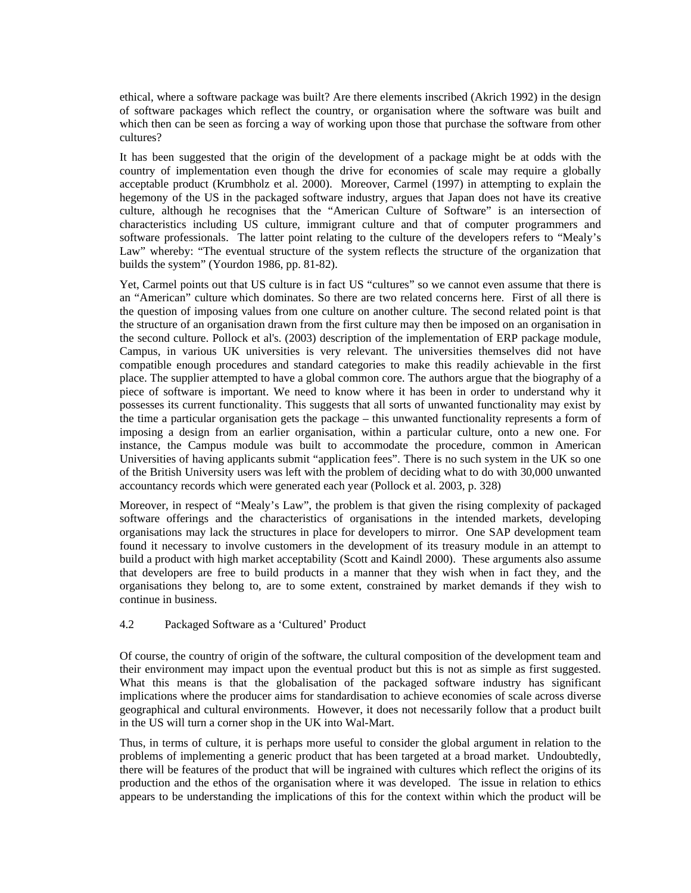ethical, where a software package was built? Are there elements inscribed (Akrich 1992) in the design of software packages which reflect the country, or organisation where the software was built and which then can be seen as forcing a way of working upon those that purchase the software from other cultures?

It has been suggested that the origin of the development of a package might be at odds with the country of implementation even though the drive for economies of scale may require a globally acceptable product (Krumbholz et al. 2000). Moreover, Carmel (1997) in attempting to explain the hegemony of the US in the packaged software industry, argues that Japan does not have its creative culture, although he recognises that the "American Culture of Software" is an intersection of characteristics including US culture, immigrant culture and that of computer programmers and software professionals. The latter point relating to the culture of the developers refers to "Mealy's Law" whereby: "The eventual structure of the system reflects the structure of the organization that builds the system" (Yourdon 1986, pp. 81-82).

Yet, Carmel points out that US culture is in fact US "cultures" so we cannot even assume that there is an "American" culture which dominates. So there are two related concerns here. First of all there is the question of imposing values from one culture on another culture. The second related point is that the structure of an organisation drawn from the first culture may then be imposed on an organisation in the second culture. Pollock et al's. (2003) description of the implementation of ERP package module, Campus, in various UK universities is very relevant. The universities themselves did not have compatible enough procedures and standard categories to make this readily achievable in the first place. The supplier attempted to have a global common core. The authors argue that the biography of a piece of software is important. We need to know where it has been in order to understand why it possesses its current functionality. This suggests that all sorts of unwanted functionality may exist by the time a particular organisation gets the package – this unwanted functionality represents a form of imposing a design from an earlier organisation, within a particular culture, onto a new one. For instance, the Campus module was built to accommodate the procedure, common in American Universities of having applicants submit "application fees". There is no such system in the UK so one of the British University users was left with the problem of deciding what to do with 30,000 unwanted accountancy records which were generated each year (Pollock et al. 2003, p. 328)

Moreover, in respect of "Mealy's Law", the problem is that given the rising complexity of packaged software offerings and the characteristics of organisations in the intended markets, developing organisations may lack the structures in place for developers to mirror. One SAP development team found it necessary to involve customers in the development of its treasury module in an attempt to build a product with high market acceptability (Scott and Kaindl 2000). These arguments also assume that developers are free to build products in a manner that they wish when in fact they, and the organisations they belong to, are to some extent, constrained by market demands if they wish to continue in business.

#### 4.2 Packaged Software as a 'Cultured' Product

Of course, the country of origin of the software, the cultural composition of the development team and their environment may impact upon the eventual product but this is not as simple as first suggested. What this means is that the globalisation of the packaged software industry has significant implications where the producer aims for standardisation to achieve economies of scale across diverse geographical and cultural environments. However, it does not necessarily follow that a product built in the US will turn a corner shop in the UK into Wal-Mart.

Thus, in terms of culture, it is perhaps more useful to consider the global argument in relation to the problems of implementing a generic product that has been targeted at a broad market. Undoubtedly, there will be features of the product that will be ingrained with cultures which reflect the origins of its production and the ethos of the organisation where it was developed. The issue in relation to ethics appears to be understanding the implications of this for the context within which the product will be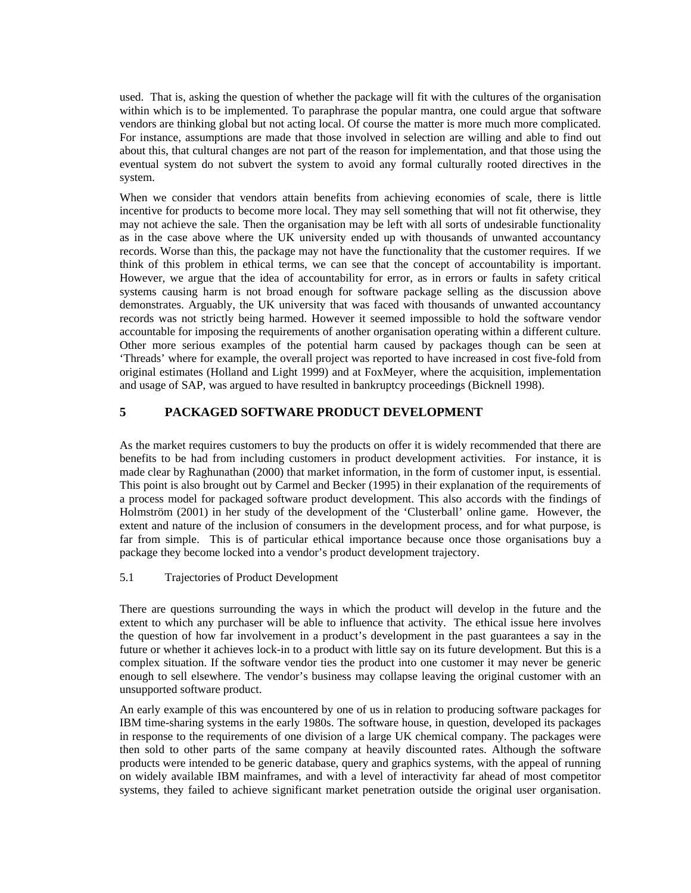used. That is, asking the question of whether the package will fit with the cultures of the organisation within which is to be implemented. To paraphrase the popular mantra, one could argue that software vendors are thinking global but not acting local. Of course the matter is more much more complicated. For instance, assumptions are made that those involved in selection are willing and able to find out about this, that cultural changes are not part of the reason for implementation, and that those using the eventual system do not subvert the system to avoid any formal culturally rooted directives in the system.

When we consider that vendors attain benefits from achieving economies of scale, there is little incentive for products to become more local. They may sell something that will not fit otherwise, they may not achieve the sale. Then the organisation may be left with all sorts of undesirable functionality as in the case above where the UK university ended up with thousands of unwanted accountancy records. Worse than this, the package may not have the functionality that the customer requires. If we think of this problem in ethical terms, we can see that the concept of accountability is important. However, we argue that the idea of accountability for error, as in errors or faults in safety critical systems causing harm is not broad enough for software package selling as the discussion above demonstrates. Arguably, the UK university that was faced with thousands of unwanted accountancy records was not strictly being harmed. However it seemed impossible to hold the software vendor accountable for imposing the requirements of another organisation operating within a different culture. Other more serious examples of the potential harm caused by packages though can be seen at 'Threads' where for example, the overall project was reported to have increased in cost five-fold from original estimates (Holland and Light 1999) and at FoxMeyer, where the acquisition, implementation and usage of SAP, was argued to have resulted in bankruptcy proceedings (Bicknell 1998).

# **5 PACKAGED SOFTWARE PRODUCT DEVELOPMENT**

As the market requires customers to buy the products on offer it is widely recommended that there are benefits to be had from including customers in product development activities. For instance, it is made clear by Raghunathan (2000) that market information, in the form of customer input, is essential. This point is also brought out by Carmel and Becker (1995) in their explanation of the requirements of a process model for packaged software product development. This also accords with the findings of Holmström (2001) in her study of the development of the 'Clusterball' online game. However, the extent and nature of the inclusion of consumers in the development process, and for what purpose, is far from simple. This is of particular ethical importance because once those organisations buy a package they become locked into a vendor's product development trajectory.

#### 5.1 Trajectories of Product Development

There are questions surrounding the ways in which the product will develop in the future and the extent to which any purchaser will be able to influence that activity. The ethical issue here involves the question of how far involvement in a product's development in the past guarantees a say in the future or whether it achieves lock-in to a product with little say on its future development. But this is a complex situation. If the software vendor ties the product into one customer it may never be generic enough to sell elsewhere. The vendor's business may collapse leaving the original customer with an unsupported software product.

An early example of this was encountered by one of us in relation to producing software packages for IBM time-sharing systems in the early 1980s. The software house, in question, developed its packages in response to the requirements of one division of a large UK chemical company. The packages were then sold to other parts of the same company at heavily discounted rates. Although the software products were intended to be generic database, query and graphics systems, with the appeal of running on widely available IBM mainframes, and with a level of interactivity far ahead of most competitor systems, they failed to achieve significant market penetration outside the original user organisation.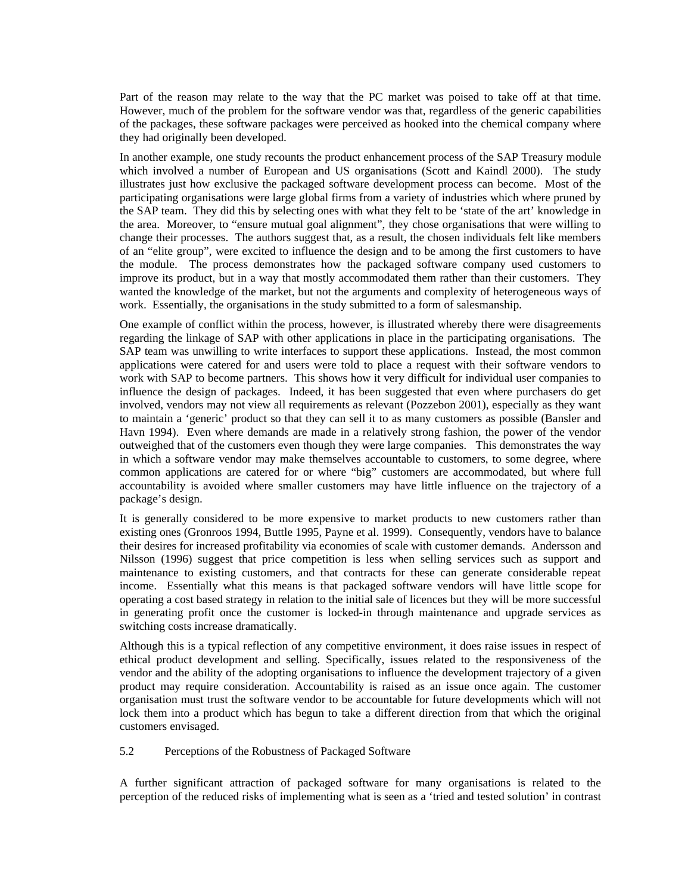Part of the reason may relate to the way that the PC market was poised to take off at that time. However, much of the problem for the software vendor was that, regardless of the generic capabilities of the packages, these software packages were perceived as hooked into the chemical company where they had originally been developed.

In another example, one study recounts the product enhancement process of the SAP Treasury module which involved a number of European and US organisations (Scott and Kaindl 2000). The study illustrates just how exclusive the packaged software development process can become. Most of the participating organisations were large global firms from a variety of industries which where pruned by the SAP team. They did this by selecting ones with what they felt to be 'state of the art' knowledge in the area. Moreover, to "ensure mutual goal alignment", they chose organisations that were willing to change their processes. The authors suggest that, as a result, the chosen individuals felt like members of an "elite group", were excited to influence the design and to be among the first customers to have the module. The process demonstrates how the packaged software company used customers to improve its product, but in a way that mostly accommodated them rather than their customers. They wanted the knowledge of the market, but not the arguments and complexity of heterogeneous ways of work. Essentially, the organisations in the study submitted to a form of salesmanship.

One example of conflict within the process, however, is illustrated whereby there were disagreements regarding the linkage of SAP with other applications in place in the participating organisations. The SAP team was unwilling to write interfaces to support these applications. Instead, the most common applications were catered for and users were told to place a request with their software vendors to work with SAP to become partners. This shows how it very difficult for individual user companies to influence the design of packages. Indeed, it has been suggested that even where purchasers do get involved, vendors may not view all requirements as relevant (Pozzebon 2001), especially as they want to maintain a 'generic' product so that they can sell it to as many customers as possible (Bansler and Havn 1994). Even where demands are made in a relatively strong fashion, the power of the vendor outweighed that of the customers even though they were large companies. This demonstrates the way in which a software vendor may make themselves accountable to customers, to some degree, where common applications are catered for or where "big" customers are accommodated, but where full accountability is avoided where smaller customers may have little influence on the trajectory of a package's design.

It is generally considered to be more expensive to market products to new customers rather than existing ones (Gronroos 1994, Buttle 1995, Payne et al. 1999). Consequently, vendors have to balance their desires for increased profitability via economies of scale with customer demands. Andersson and Nilsson (1996) suggest that price competition is less when selling services such as support and maintenance to existing customers, and that contracts for these can generate considerable repeat income. Essentially what this means is that packaged software vendors will have little scope for operating a cost based strategy in relation to the initial sale of licences but they will be more successful in generating profit once the customer is locked-in through maintenance and upgrade services as switching costs increase dramatically.

Although this is a typical reflection of any competitive environment, it does raise issues in respect of ethical product development and selling. Specifically, issues related to the responsiveness of the vendor and the ability of the adopting organisations to influence the development trajectory of a given product may require consideration. Accountability is raised as an issue once again. The customer organisation must trust the software vendor to be accountable for future developments which will not lock them into a product which has begun to take a different direction from that which the original customers envisaged.

#### 5.2 Perceptions of the Robustness of Packaged Software

A further significant attraction of packaged software for many organisations is related to the perception of the reduced risks of implementing what is seen as a 'tried and tested solution' in contrast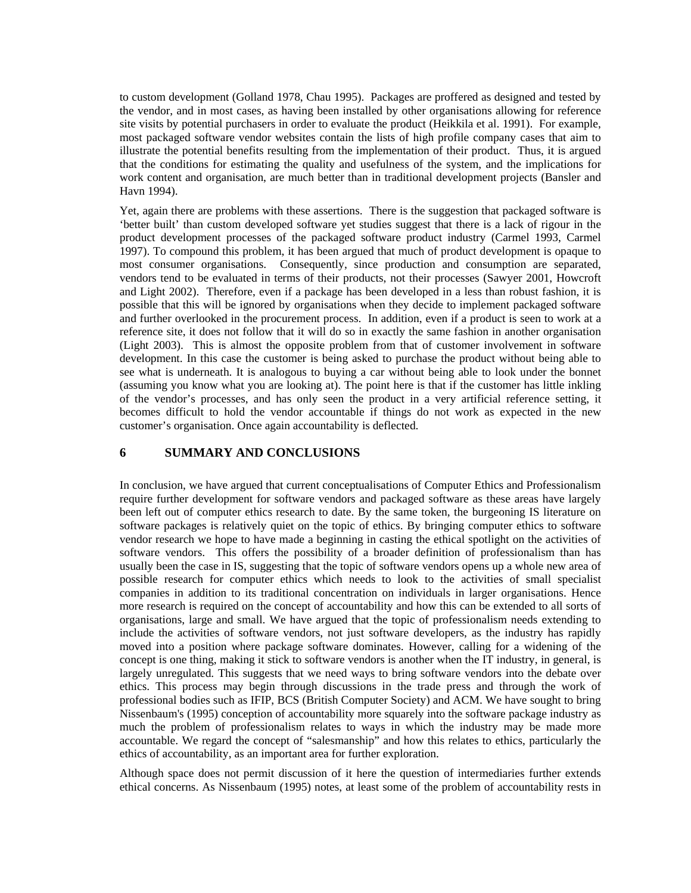to custom development (Golland 1978, Chau 1995). Packages are proffered as designed and tested by the vendor, and in most cases, as having been installed by other organisations allowing for reference site visits by potential purchasers in order to evaluate the product (Heikkila et al. 1991). For example, most packaged software vendor websites contain the lists of high profile company cases that aim to illustrate the potential benefits resulting from the implementation of their product. Thus, it is argued that the conditions for estimating the quality and usefulness of the system, and the implications for work content and organisation, are much better than in traditional development projects (Bansler and Havn 1994).

Yet, again there are problems with these assertions. There is the suggestion that packaged software is 'better built' than custom developed software yet studies suggest that there is a lack of rigour in the product development processes of the packaged software product industry (Carmel 1993, Carmel 1997). To compound this problem, it has been argued that much of product development is opaque to most consumer organisations. Consequently, since production and consumption are separated, vendors tend to be evaluated in terms of their products, not their processes (Sawyer 2001, Howcroft and Light 2002). Therefore, even if a package has been developed in a less than robust fashion, it is possible that this will be ignored by organisations when they decide to implement packaged software and further overlooked in the procurement process. In addition, even if a product is seen to work at a reference site, it does not follow that it will do so in exactly the same fashion in another organisation (Light 2003). This is almost the opposite problem from that of customer involvement in software development. In this case the customer is being asked to purchase the product without being able to see what is underneath. It is analogous to buying a car without being able to look under the bonnet (assuming you know what you are looking at). The point here is that if the customer has little inkling of the vendor's processes, and has only seen the product in a very artificial reference setting, it becomes difficult to hold the vendor accountable if things do not work as expected in the new customer's organisation. Once again accountability is deflected.

# **6 SUMMARY AND CONCLUSIONS**

In conclusion, we have argued that current conceptualisations of Computer Ethics and Professionalism require further development for software vendors and packaged software as these areas have largely been left out of computer ethics research to date. By the same token, the burgeoning IS literature on software packages is relatively quiet on the topic of ethics. By bringing computer ethics to software vendor research we hope to have made a beginning in casting the ethical spotlight on the activities of software vendors. This offers the possibility of a broader definition of professionalism than has usually been the case in IS, suggesting that the topic of software vendors opens up a whole new area of possible research for computer ethics which needs to look to the activities of small specialist companies in addition to its traditional concentration on individuals in larger organisations. Hence more research is required on the concept of accountability and how this can be extended to all sorts of organisations, large and small. We have argued that the topic of professionalism needs extending to include the activities of software vendors, not just software developers, as the industry has rapidly moved into a position where package software dominates. However, calling for a widening of the concept is one thing, making it stick to software vendors is another when the IT industry, in general, is largely unregulated. This suggests that we need ways to bring software vendors into the debate over ethics. This process may begin through discussions in the trade press and through the work of professional bodies such as IFIP, BCS (British Computer Society) and ACM. We have sought to bring Nissenbaum's (1995) conception of accountability more squarely into the software package industry as much the problem of professionalism relates to ways in which the industry may be made more accountable. We regard the concept of "salesmanship" and how this relates to ethics, particularly the ethics of accountability, as an important area for further exploration.

Although space does not permit discussion of it here the question of intermediaries further extends ethical concerns. As Nissenbaum (1995) notes, at least some of the problem of accountability rests in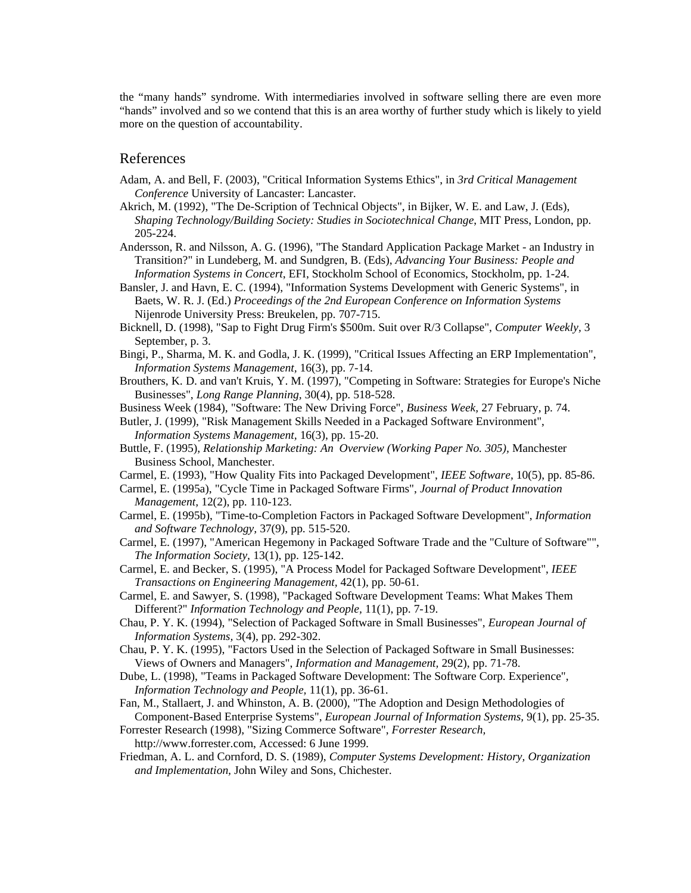the "many hands" syndrome. With intermediaries involved in software selling there are even more "hands" involved and so we contend that this is an area worthy of further study which is likely to yield more on the question of accountability.

## References

- Adam, A. and Bell, F. (2003), "Critical Information Systems Ethics", in *3rd Critical Management Conference* University of Lancaster: Lancaster.
- Akrich, M. (1992), "The De-Scription of Technical Objects", in Bijker, W. E. and Law, J. (Eds), *Shaping Technology/Building Society: Studies in Sociotechnical Change*, MIT Press, London, pp. 205-224.
- Andersson, R. and Nilsson, A. G. (1996), "The Standard Application Package Market an Industry in Transition?" in Lundeberg, M. and Sundgren, B. (Eds), *Advancing Your Business: People and Information Systems in Concert*, EFI, Stockholm School of Economics, Stockholm, pp. 1-24.
- Bansler, J. and Havn, E. C. (1994), "Information Systems Development with Generic Systems", in Baets, W. R. J. (Ed.) *Proceedings of the 2nd European Conference on Information Systems* Nijenrode University Press: Breukelen, pp. 707-715.
- Bicknell, D. (1998), "Sap to Fight Drug Firm's \$500m. Suit over R/3 Collapse", *Computer Weekly,* 3 September, p. 3.
- Bingi, P., Sharma, M. K. and Godla, J. K. (1999), "Critical Issues Affecting an ERP Implementation", *Information Systems Management,* 16(3), pp. 7-14.
- Brouthers, K. D. and van't Kruis, Y. M. (1997), "Competing in Software: Strategies for Europe's Niche Businesses", *Long Range Planning,* 30(4), pp. 518-528.
- Business Week (1984), "Software: The New Driving Force", *Business Week,* 27 February, p. 74.

Butler, J. (1999), "Risk Management Skills Needed in a Packaged Software Environment", *Information Systems Management,* 16(3), pp. 15-20.

- Buttle, F. (1995), *Relationship Marketing: An Overview (Working Paper No. 305),* Manchester Business School, Manchester.
- Carmel, E. (1993), "How Quality Fits into Packaged Development", *IEEE Software,* 10(5), pp. 85-86.
- Carmel, E. (1995a), "Cycle Time in Packaged Software Firms", *Journal of Product Innovation Management,* 12(2), pp. 110-123.
- Carmel, E. (1995b), "Time-to-Completion Factors in Packaged Software Development", *Information and Software Technology,* 37(9), pp. 515-520.
- Carmel, E. (1997), "American Hegemony in Packaged Software Trade and the "Culture of Software"", *The Information Society,* 13(1), pp. 125-142.
- Carmel, E. and Becker, S. (1995), "A Process Model for Packaged Software Development", *IEEE Transactions on Engineering Management,* 42(1), pp. 50-61.
- Carmel, E. and Sawyer, S. (1998), "Packaged Software Development Teams: What Makes Them Different?" *Information Technology and People,* 11(1), pp. 7-19.
- Chau, P. Y. K. (1994), "Selection of Packaged Software in Small Businesses", *European Journal of Information Systems,* 3(4), pp. 292-302.
- Chau, P. Y. K. (1995), "Factors Used in the Selection of Packaged Software in Small Businesses: Views of Owners and Managers", *Information and Management,* 29(2), pp. 71-78.
- Dube, L. (1998), "Teams in Packaged Software Development: The Software Corp. Experience", *Information Technology and People,* 11(1), pp. 36-61.
- Fan, M., Stallaert, J. and Whinston, A. B. (2000), "The Adoption and Design Methodologies of Component-Based Enterprise Systems", *European Journal of Information Systems,* 9(1), pp. 25-35.
- Forrester Research (1998), "Sizing Commerce Software", *Forrester Research,* http://www.forrester.com, Accessed: 6 June 1999.
- Friedman, A. L. and Cornford, D. S. (1989), *Computer Systems Development: History, Organization and Implementation,* John Wiley and Sons, Chichester.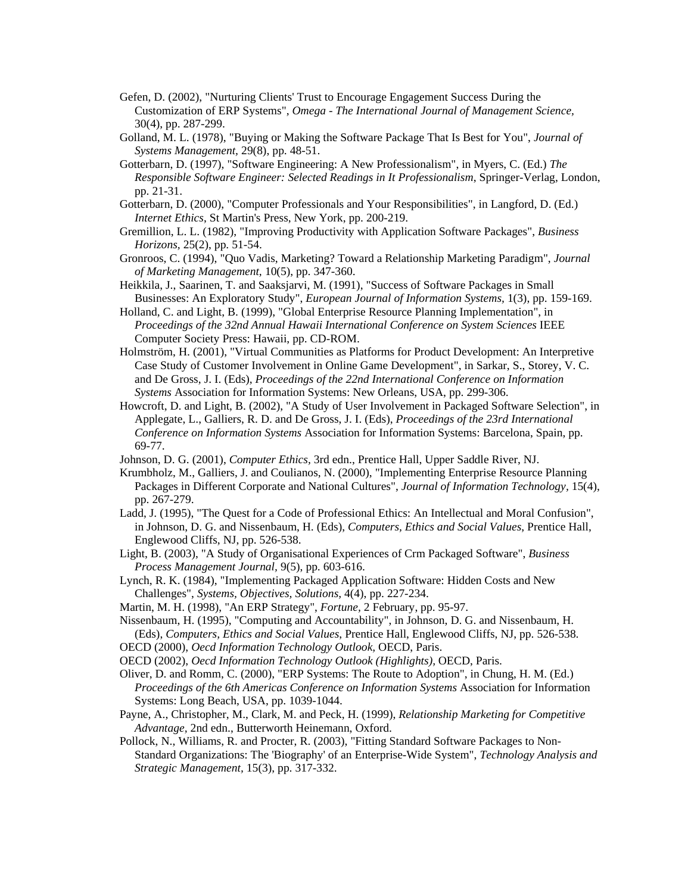- Gefen, D. (2002), "Nurturing Clients' Trust to Encourage Engagement Success During the Customization of ERP Systems", *Omega - The International Journal of Management Science,* 30(4), pp. 287-299.
- Golland, M. L. (1978), "Buying or Making the Software Package That Is Best for You", *Journal of Systems Management,* 29(8), pp. 48-51.
- Gotterbarn, D. (1997), "Software Engineering: A New Professionalism", in Myers, C. (Ed.) *The Responsible Software Engineer: Selected Readings in It Professionalism*, Springer-Verlag, London, pp. 21-31.
- Gotterbarn, D. (2000), "Computer Professionals and Your Responsibilities", in Langford, D. (Ed.) *Internet Ethics*, St Martin's Press, New York, pp. 200-219.
- Gremillion, L. L. (1982), "Improving Productivity with Application Software Packages", *Business Horizons,* 25(2), pp. 51-54.
- Gronroos, C. (1994), "Quo Vadis, Marketing? Toward a Relationship Marketing Paradigm", *Journal of Marketing Management,* 10(5), pp. 347-360.
- Heikkila, J., Saarinen, T. and Saaksjarvi, M. (1991), "Success of Software Packages in Small Businesses: An Exploratory Study", *European Journal of Information Systems,* 1(3), pp. 159-169.
- Holland, C. and Light, B. (1999), "Global Enterprise Resource Planning Implementation", in *Proceedings of the 32nd Annual Hawaii International Conference on System Sciences* IEEE Computer Society Press: Hawaii, pp. CD-ROM.
- Holmström, H. (2001), "Virtual Communities as Platforms for Product Development: An Interpretive Case Study of Customer Involvement in Online Game Development", in Sarkar, S., Storey, V. C. and De Gross, J. I. (Eds), *Proceedings of the 22nd International Conference on Information Systems* Association for Information Systems: New Orleans, USA, pp. 299-306.
- Howcroft, D. and Light, B. (2002), "A Study of User Involvement in Packaged Software Selection", in Applegate, L., Galliers, R. D. and De Gross, J. I. (Eds), *Proceedings of the 23rd International Conference on Information Systems* Association for Information Systems: Barcelona, Spain, pp. 69-77.
- Johnson, D. G. (2001), *Computer Ethics,* 3rd edn., Prentice Hall, Upper Saddle River, NJ.
- Krumbholz, M., Galliers, J. and Coulianos, N. (2000), "Implementing Enterprise Resource Planning Packages in Different Corporate and National Cultures", *Journal of Information Technology,* 15(4), pp. 267-279.
- Ladd, J. (1995), "The Quest for a Code of Professional Ethics: An Intellectual and Moral Confusion", in Johnson, D. G. and Nissenbaum, H. (Eds), *Computers, Ethics and Social Values*, Prentice Hall, Englewood Cliffs, NJ, pp. 526-538.
- Light, B. (2003), "A Study of Organisational Experiences of Crm Packaged Software", *Business Process Management Journal,* 9(5), pp. 603-616.
- Lynch, R. K. (1984), "Implementing Packaged Application Software: Hidden Costs and New Challenges", *Systems, Objectives, Solutions,* 4(4), pp. 227-234.
- Martin, M. H. (1998), "An ERP Strategy", *Fortune,* 2 February, pp. 95-97.

Nissenbaum, H. (1995), "Computing and Accountability", in Johnson, D. G. and Nissenbaum, H. (Eds), *Computers, Ethics and Social Values*, Prentice Hall, Englewood Cliffs, NJ, pp. 526-538.

- OECD (2000), *Oecd Information Technology Outlook,* OECD, Paris.
- OECD (2002), *Oecd Information Technology Outlook (Highlights),* OECD, Paris.
- Oliver, D. and Romm, C. (2000), "ERP Systems: The Route to Adoption", in Chung, H. M. (Ed.) *Proceedings of the 6th Americas Conference on Information Systems* Association for Information Systems: Long Beach, USA, pp. 1039-1044.
- Payne, A., Christopher, M., Clark, M. and Peck, H. (1999), *Relationship Marketing for Competitive Advantage,* 2nd edn., Butterworth Heinemann, Oxford.
- Pollock, N., Williams, R. and Procter, R. (2003), "Fitting Standard Software Packages to Non-Standard Organizations: The 'Biography' of an Enterprise-Wide System", *Technology Analysis and Strategic Management,* 15(3), pp. 317-332.